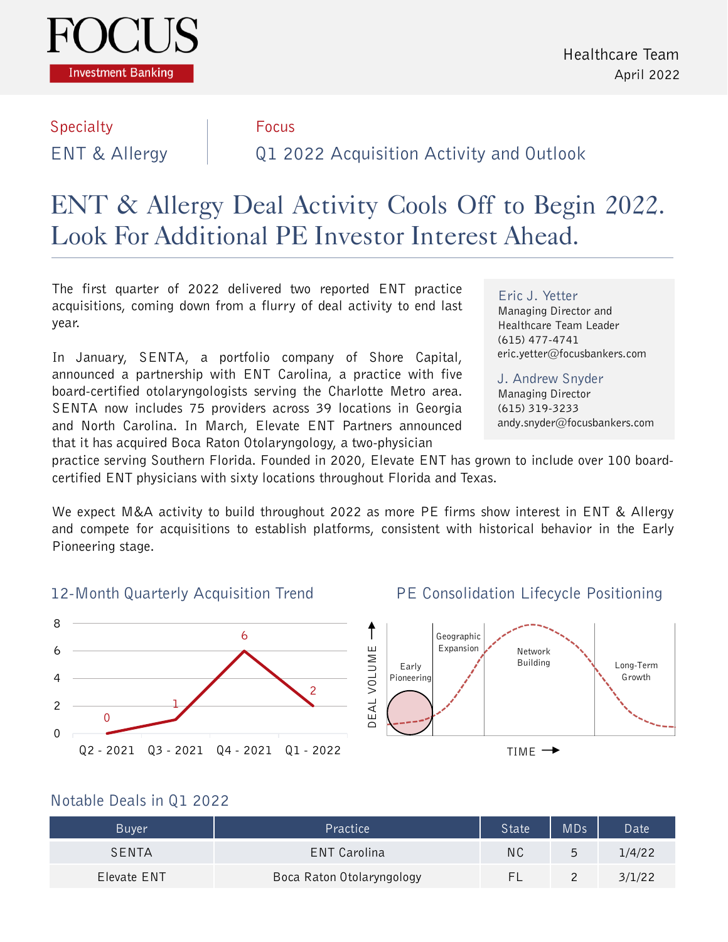

# Specialty **Focus**

## ENT & Allergy Q1 2022 Acquisition Activity and Outlook

### ENT & Allergy Deal Activity Cools Off to Begin 2022. Look For Additional PE Investor Interest Ahead.

The first quarter of 2022 delivered two reported ENT practice acquisitions, coming down from a flurry of deal activity to end last year.

In January, SENTA, a portfolio company of Shore Capital, announced a partnership with ENT Carolina, a practice with five board-certified otolaryngologists serving the Charlotte Metro area. SENTA now includes 75 providers across 39 locations in Georgia and North Carolina. In March, Elevate ENT Partners announced that it has acquired Boca Raton Otolaryngology, a two-physician

Eric J. Yetter Managing Director and Healthcare Team Leader (615) 477-4741 eric.yetter@focusbankers.com

J. Andrew Snyder Managing Director (615) 319-3233 andy.snyder@focusbankers.com

practice serving Southern Florida. Founded in 2020, Elevate ENT has grown to include over 100 boardcertified ENT physicians with sixty locations throughout Florida and Texas.

We expect M&A activity to build throughout 2022 as more PE firms show interest in ENT & Allergy and compete for acquisitions to establish platforms, consistent with historical behavior in the Early Pioneering stage.

#### 12-Month Quarterly Acquisition Trend



PE Consolidation Lifecycle Positioning





#### Notable Deals in Q1 2022

| <b>Buyer</b> | Practice                  | State | <b>MDs</b>    | Date   |
|--------------|---------------------------|-------|---------------|--------|
| SFNTA        | ENT Carolina              | ΝC    | $\mathcal{L}$ | 1/4/22 |
| Elevate ENT  | Boca Raton Otolaryngology |       |               | 3/1/22 |